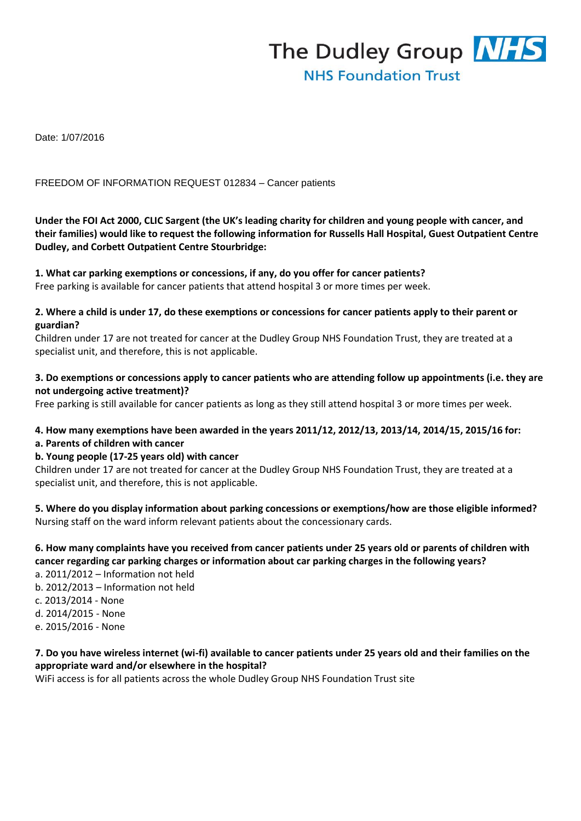

Date: 1/07/2016

#### FREEDOM OF INFORMATION REQUEST 012834 – Cancer patients

**Under the FOI Act 2000, CLIC Sargent (the UK's leading charity for children and young people with cancer, and their families) would like to request the following information for Russells Hall Hospital, Guest Outpatient Centre Dudley, and Corbett Outpatient Centre Stourbridge:** 

#### **1. What car parking exemptions or concessions, if any, do you offer for cancer patients?**

Free parking is available for cancer patients that attend hospital 3 or more times per week.

#### **2. Where a child is under 17, do these exemptions or concessions for cancer patients apply to their parent or guardian?**

Children under 17 are not treated for cancer at the Dudley Group NHS Foundation Trust, they are treated at a specialist unit, and therefore, this is not applicable.

#### **3. Do exemptions or concessions apply to cancer patients who are attending follow up appointments (i.e. they are not undergoing active treatment)?**

Free parking is still available for cancer patients as long as they still attend hospital 3 or more times per week.

#### **4. How many exemptions have been awarded in the years 2011/12, 2012/13, 2013/14, 2014/15, 2015/16 for: a. Parents of children with cancer**

#### **b. Young people (17-25 years old) with cancer**

Children under 17 are not treated for cancer at the Dudley Group NHS Foundation Trust, they are treated at a specialist unit, and therefore, this is not applicable.

**5. Where do you display information about parking concessions or exemptions/how are those eligible informed?**  Nursing staff on the ward inform relevant patients about the concessionary cards.

## **6. How many complaints have you received from cancer patients under 25 years old or parents of children with cancer regarding car parking charges or information about car parking charges in the following years?**

a. 2011/2012 – Information not held b. 2012/2013 – Information not held c. 2013/2014 - None d. 2014/2015 - None e. 2015/2016 - None

# **7. Do you have wireless internet (wi-fi) available to cancer patients under 25 years old and their families on the appropriate ward and/or elsewhere in the hospital?**

WiFi access is for all patients across the whole Dudley Group NHS Foundation Trust site